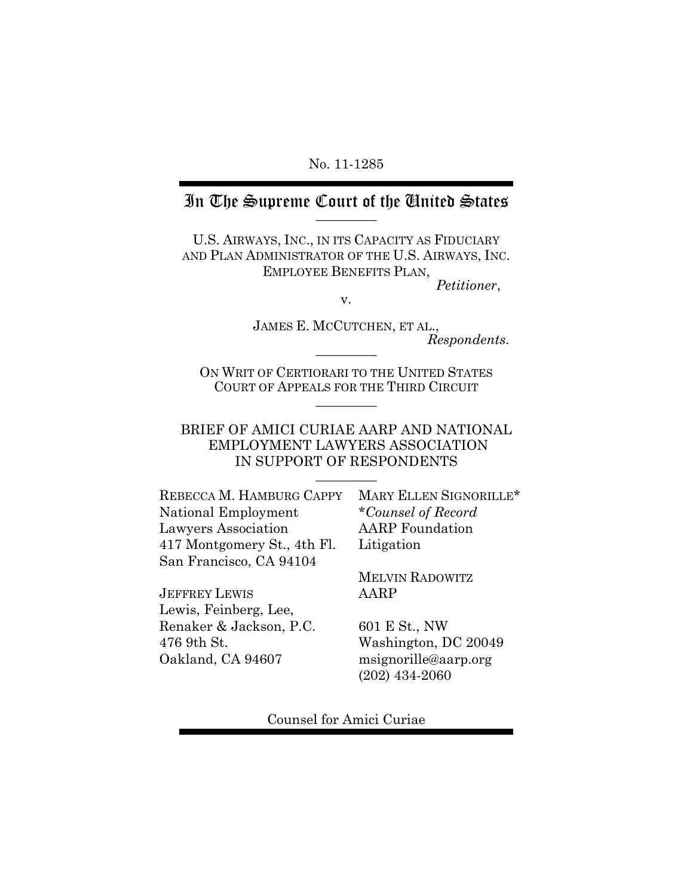#### No. 11-1285

## In The Supreme Court of the United States

U.S. AIRWAYS, INC., IN ITS CAPACITY AS FIDUCIARY AND PLAN ADMINISTRATOR OF THE U.S. AIRWAYS, INC. EMPLOYEE BENEFITS PLAN, *Petitioner*,

v.

JAMES E. MCCUTCHEN, ET AL., *Respondents.* \_\_\_\_\_\_\_\_\_

ON WRIT OF CERTIORARI TO THE UNITED STATES COURT OF APPEALS FOR THE THIRD CIRCUIT  $\overline{\phantom{a}}$ 

#### BRIEF OF AMICI CURIAE AARP AND NATIONAL EMPLOYMENT LAWYERS ASSOCIATION IN SUPPORT OF RESPONDENTS

 $\overline{\phantom{a}}$ 

REBECCA M. HAMBURG CAPPY National Employment Lawyers Association 417 Montgomery St., 4th Fl. San Francisco, CA 94104

JEFFREY LEWIS Lewis, Feinberg, Lee, Renaker & Jackson, P.C. 476 9th St. Oakland, CA 94607

MARY ELLEN SIGNORILLE\* \**Counsel of Record*  AARP Foundation Litigation

MELVIN RADOWITZ AARP

601 E St., NW Washington, DC 20049 msignorille@aarp.org (202) 434-2060

Counsel for Amici Curiae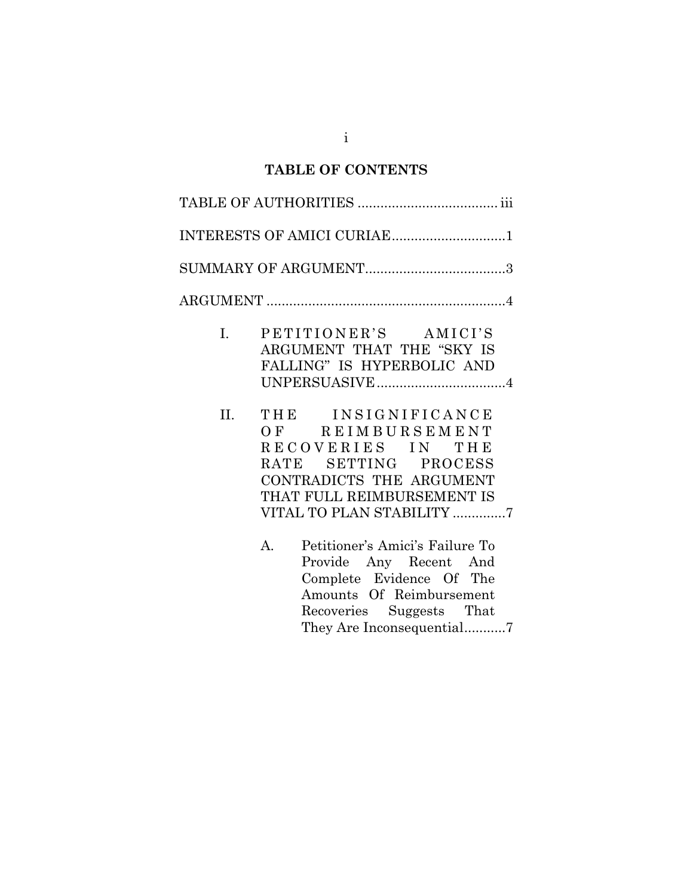# **TABLE OF CONTENTS**

|                | INTERESTS OF AMICI CURIAE1                                                                                                                                                                                                                                                                                                                 |
|----------------|--------------------------------------------------------------------------------------------------------------------------------------------------------------------------------------------------------------------------------------------------------------------------------------------------------------------------------------------|
|                |                                                                                                                                                                                                                                                                                                                                            |
|                |                                                                                                                                                                                                                                                                                                                                            |
| $\mathbf{I}$ . | PETITIONER'S AMICI'S<br>ARGUMENT THAT THE "SKY IS<br>FALLING" IS HYPERBOLIC AND<br>UNPERSUASIVE4                                                                                                                                                                                                                                           |
| II.            | THE INSIGNIFICANCE<br>OF REIMBURSEMENT<br>RECOVERIES IN THE<br>RATE SETTING PROCESS<br>CONTRADICTS THE ARGUMENT<br>THAT FULL REIMBURSEMENT IS<br>VITAL TO PLAN STABILITY 7<br>Petitioner's Amici's Failure To<br>$A_{\cdot}$<br>Provide Any Recent And<br>Complete Evidence Of The<br>Amounts Of Reimbursement<br>Recoveries Suggests That |

They Are Inconsequential...........7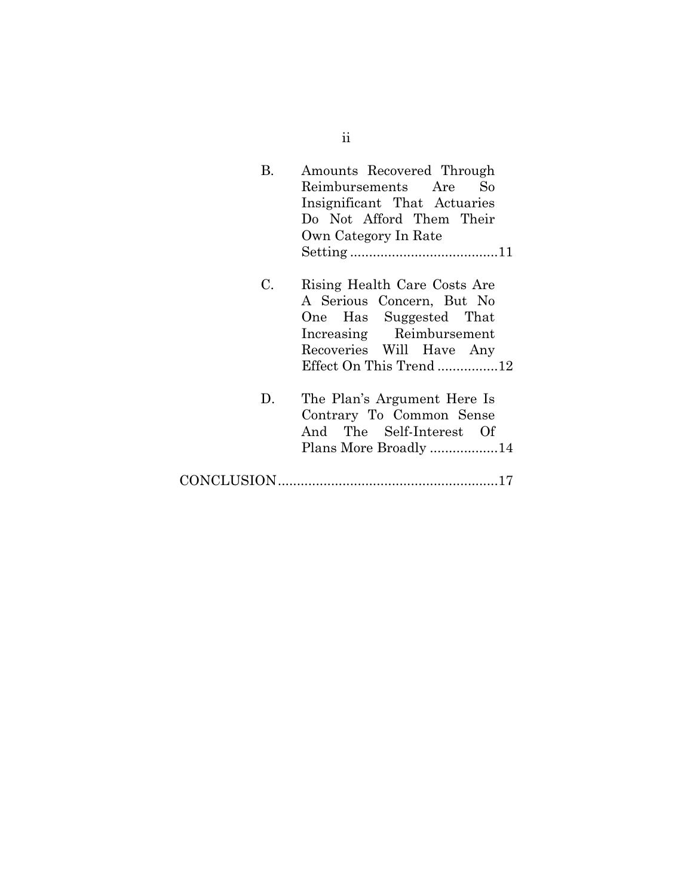| В. | Amounts Recovered Through<br>Reimbursements Are So                                                                                                                    |
|----|-----------------------------------------------------------------------------------------------------------------------------------------------------------------------|
|    | Insignificant That Actuaries                                                                                                                                          |
|    | Do Not Afford Them Their                                                                                                                                              |
|    | Own Category In Rate                                                                                                                                                  |
|    |                                                                                                                                                                       |
| C. | Rising Health Care Costs Are<br>A Serious Concern, But No<br>One Has Suggested That<br>Increasing Reimbursement<br>Recoveries Will Have Any<br>Effect On This Trend12 |
| D. | The Plan's Argument Here Is<br>Contrary To Common Sense<br>And The Self-Interest Of<br>Plans More Broadly 14                                                          |
|    |                                                                                                                                                                       |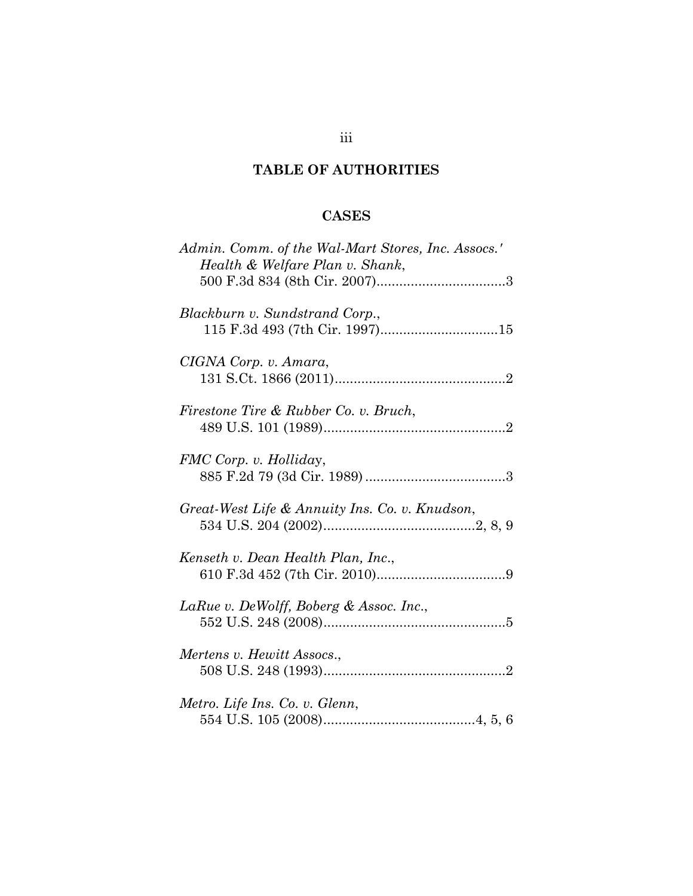# **TABLE OF AUTHORITIES**

# **CASES**

| Admin. Comm. of the Wal-Mart Stores, Inc. Assocs.'<br>Health & Welfare Plan v. Shank, |
|---------------------------------------------------------------------------------------|
| Blackburn v. Sundstrand Corp.,                                                        |
| CIGNA Corp. v. Amara,                                                                 |
| Firestone Tire & Rubber Co. v. Bruch,                                                 |
| FMC Corp. v. Holliday,                                                                |
| Great-West Life & Annuity Ins. Co. v. Knudson,                                        |
| Kenseth v. Dean Health Plan, Inc.,                                                    |
| LaRue v. DeWolff, Boberg & Assoc. Inc.,                                               |
| Mertens v. Hewitt Assocs.,                                                            |
| Metro. Life Ins. Co. v. Glenn,                                                        |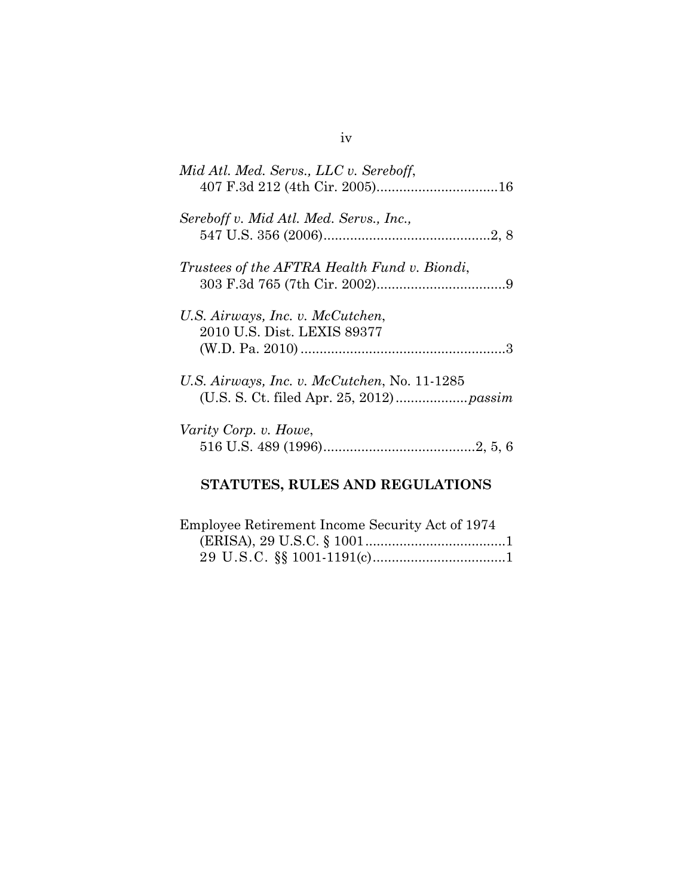| Mid Atl. Med. Servs., LLC v. Sereboff,                          |
|-----------------------------------------------------------------|
| Sereboff v. Mid Atl. Med. Servs., Inc.,                         |
| Trustees of the AFTRA Health Fund v. Biondi,                    |
| U.S. Airways, Inc. v. McCutchen,<br>2010 U.S. Dist. LEXIS 89377 |
| U.S. Airways, Inc. v. McCutchen, No. 11-1285                    |
| Varity Corp. v. Howe,                                           |

# **STATUTES, RULES AND REGULATIONS**

| Employee Retirement Income Security Act of 1974 |  |
|-------------------------------------------------|--|
|                                                 |  |
|                                                 |  |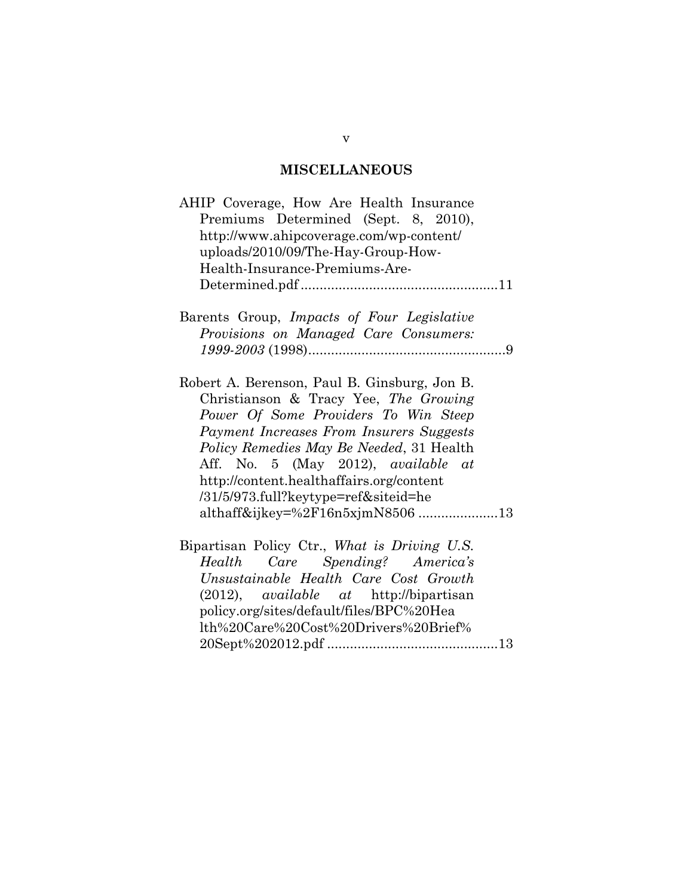## **MISCELLANEOUS**

| AHIP Coverage, How Are Health Insurance          |  |  |  |  |
|--------------------------------------------------|--|--|--|--|
| Premiums Determined (Sept. 8, 2010),             |  |  |  |  |
| http://www.ahipcoverage.com/wp-content/          |  |  |  |  |
| uploads/2010/09/The-Hay-Group-How-               |  |  |  |  |
| Health-Insurance-Premiums-Are-                   |  |  |  |  |
|                                                  |  |  |  |  |
|                                                  |  |  |  |  |
| Barents Group, Impacts of Four Legislative       |  |  |  |  |
| Provisions on Managed Care Consumers:            |  |  |  |  |
|                                                  |  |  |  |  |
|                                                  |  |  |  |  |
| Robert A. Berenson, Paul B. Ginsburg, Jon B.     |  |  |  |  |
| Christianson & Tracy Yee, The Growing            |  |  |  |  |
| Power Of Some Providers To Win Steep             |  |  |  |  |
| Payment Increases From Insurers Suggests         |  |  |  |  |
| Policy Remedies May Be Needed, 31 Health         |  |  |  |  |
| Aff. No. 5 (May 2012), available at              |  |  |  |  |
| http://content.healthaffairs.org/content         |  |  |  |  |
| /31/5/973.full?keytype=ref&siteid=he             |  |  |  |  |
| althaff&ijkey=%2F16n5xjmN850613                  |  |  |  |  |
|                                                  |  |  |  |  |
| Bipartisan Policy Ctr., What is Driving U.S.     |  |  |  |  |
| Care Spending? America's<br>Health               |  |  |  |  |
| Unsustainable Health Care Cost Growth            |  |  |  |  |
| $(2012)$ , <i>available at</i> http://bipartisan |  |  |  |  |
| policy.org/sites/default/files/BPC%20Hea         |  |  |  |  |
| lth%20Care%20Cost%20Drivers%20Brief%             |  |  |  |  |
|                                                  |  |  |  |  |

v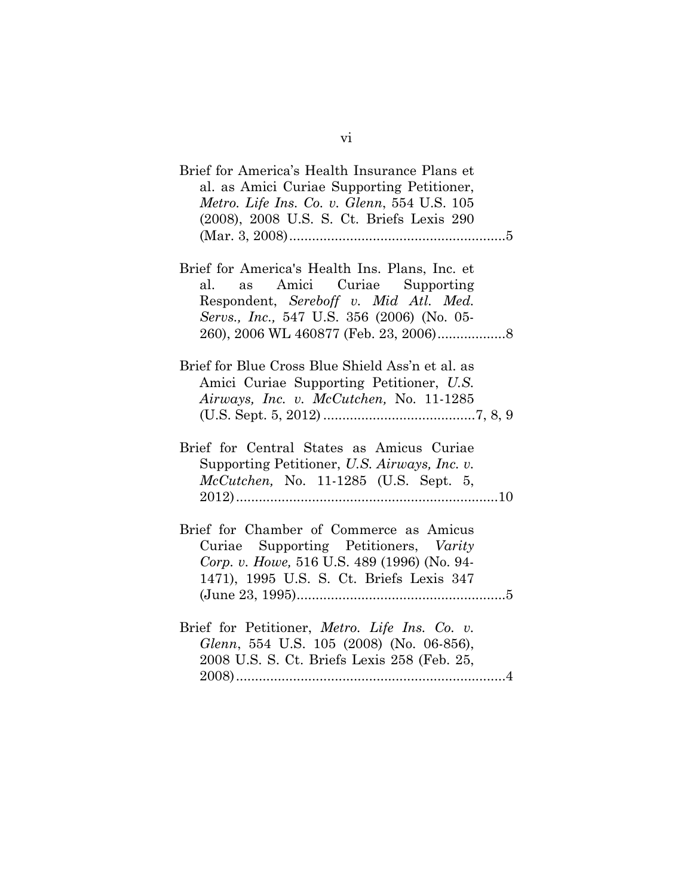| Brief for America's Health Insurance Plans et<br>al. as Amici Curiae Supporting Petitioner,<br>Metro. Life Ins. Co. v. Glenn, 554 U.S. 105<br>(2008), 2008 U.S. S. Ct. Briefs Lexis 290 |  |
|-----------------------------------------------------------------------------------------------------------------------------------------------------------------------------------------|--|
| Brief for America's Health Ins. Plans, Inc. et<br>as Amici Curiae Supporting<br>al.<br>Respondent, Sereboff v. Mid Atl. Med.<br>Servs., Inc., 547 U.S. 356 (2006) (No. 05-              |  |
| Brief for Blue Cross Blue Shield Ass'n et al. as<br>Amici Curiae Supporting Petitioner, U.S.<br>Airways, Inc. v. McCutchen, No. 11-1285                                                 |  |
| Brief for Central States as Amicus Curiae<br>Supporting Petitioner, U.S. Airways, Inc. v.<br>$McCutchen$ , No. 11-1285 (U.S. Sept. 5,                                                   |  |
| Brief for Chamber of Commerce as Amicus<br>Curiae Supporting Petitioners, Varity<br>Corp. v. Howe, 516 U.S. 489 (1996) (No. 94-<br>1471), 1995 U.S. S. Ct. Briefs Lexis 347             |  |
| Brief for Petitioner, Metro. Life Ins. Co. v.<br>Glenn, 554 U.S. 105 (2008) (No. 06-856),<br>2008 U.S. S. Ct. Briefs Lexis 258 (Feb. 25,                                                |  |

vi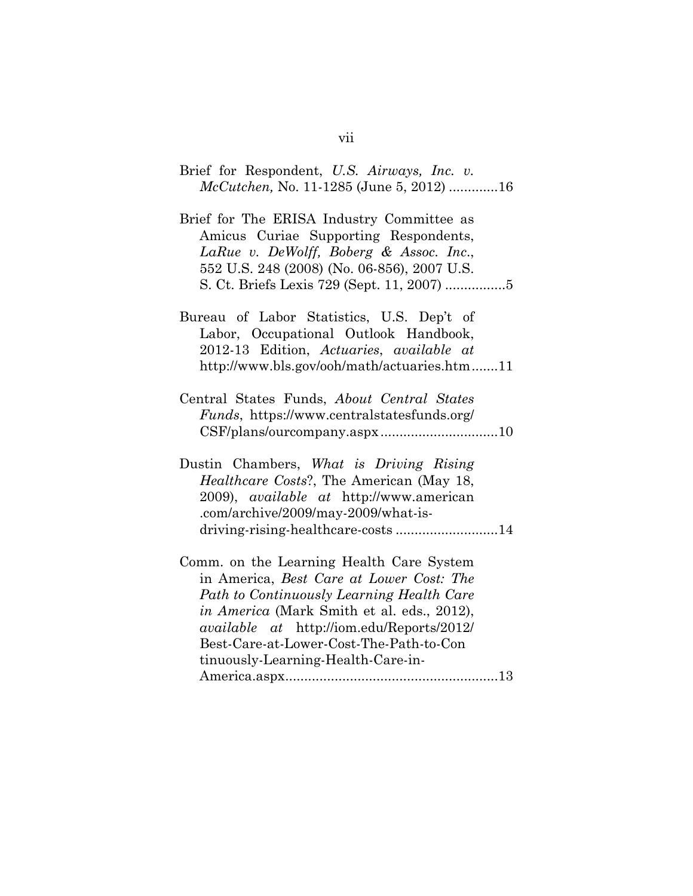| Brief for Respondent, U.S. Airways, Inc. v.<br><i>McCutchen, No.</i> 11-1285 (June 5, 2012) 16                                                                                                                                                                                                                       |
|----------------------------------------------------------------------------------------------------------------------------------------------------------------------------------------------------------------------------------------------------------------------------------------------------------------------|
| Brief for The ERISA Industry Committee as<br>Amicus Curiae Supporting Respondents,<br>LaRue v. DeWolff, Boberg & Assoc. Inc.,<br>552 U.S. 248 (2008) (No. 06-856), 2007 U.S.                                                                                                                                         |
| Bureau of Labor Statistics, U.S. Dep't of<br>Labor, Occupational Outlook Handbook,<br>2012-13 Edition, Actuaries, available at<br>http://www.bls.gov/ooh/math/actuaries.htm11                                                                                                                                        |
| Central States Funds, About Central States<br><i>Funds</i> , https://www.centralstatesfunds.org/                                                                                                                                                                                                                     |
| Dustin Chambers, What is Driving Rising<br>Healthcare Costs?, The American (May 18,<br>2009), <i>available at</i> http://www.american<br>.com/archive/2009/may-2009/what-is-                                                                                                                                         |
| Comm. on the Learning Health Care System<br>in America, Best Care at Lower Cost: The<br>Path to Continuously Learning Health Care<br>in America (Mark Smith et al. eds., 2012),<br><i>available at http://iom.edu/Reports/2012/</i><br>Best-Care-at-Lower-Cost-The-Path-to-Con<br>tinuously-Learning-Health-Care-in- |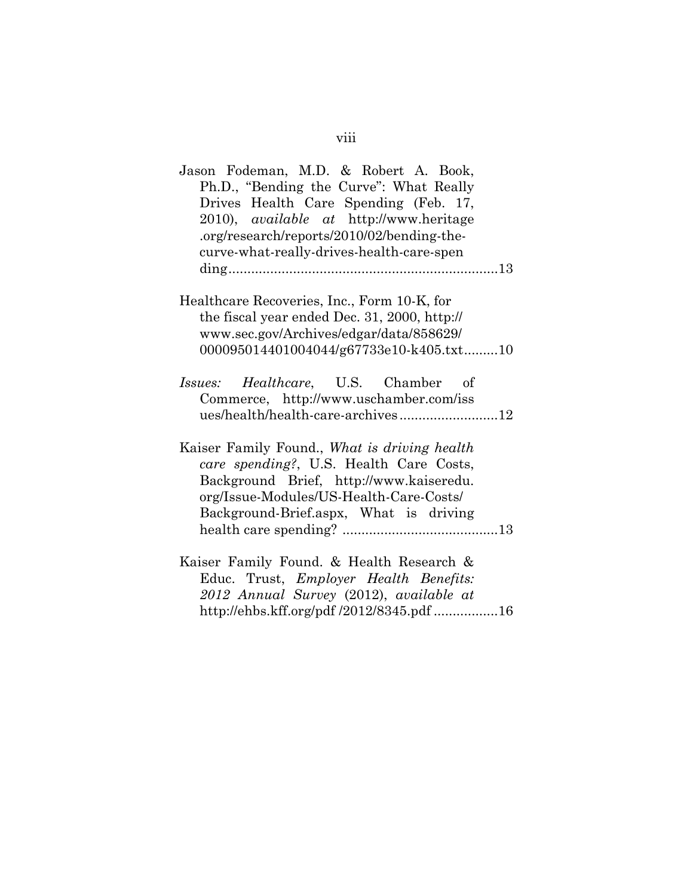| Jason Fodeman, M.D. & Robert A. Book,<br>Ph.D., "Bending the Curve": What Really<br>Drives Health Care Spending (Feb. 17,<br>2010), <i>available</i> at http://www.heritage<br>.org/research/reports/2010/02/bending-the-<br>curve-what-really-drives-health-care-spen |  |
|------------------------------------------------------------------------------------------------------------------------------------------------------------------------------------------------------------------------------------------------------------------------|--|
|                                                                                                                                                                                                                                                                        |  |
| Healthcare Recoveries, Inc., Form 10-K, for                                                                                                                                                                                                                            |  |
| the fiscal year ended Dec. 31, 2000, http://                                                                                                                                                                                                                           |  |
| www.sec.gov/Archives/edgar/data/858629/                                                                                                                                                                                                                                |  |
| 000095014401004044/g67733e10-k405.txt10                                                                                                                                                                                                                                |  |
| Healthcare, U.S. Chamber of<br><i>Issues:</i><br>Commerce, http://www.uschamber.com/iss<br>ues/health/health-care-archives12                                                                                                                                           |  |
| Kaiser Family Found., What is driving health<br>care spending?, U.S. Health Care Costs,<br>Background Brief, http://www.kaiseredu.<br>org/Issue-Modules/US-Health-Care-Costs/<br>Background-Brief.aspx, What is driving                                                |  |
| Kaiser Family Found. & Health Research &<br>Educ. Trust, <i>Employer Health Benefits:</i><br>2012 Annual Survey (2012), available at                                                                                                                                   |  |
| http://ehbs.kff.org/pdf /2012/8345.pdf 16                                                                                                                                                                                                                              |  |

## viii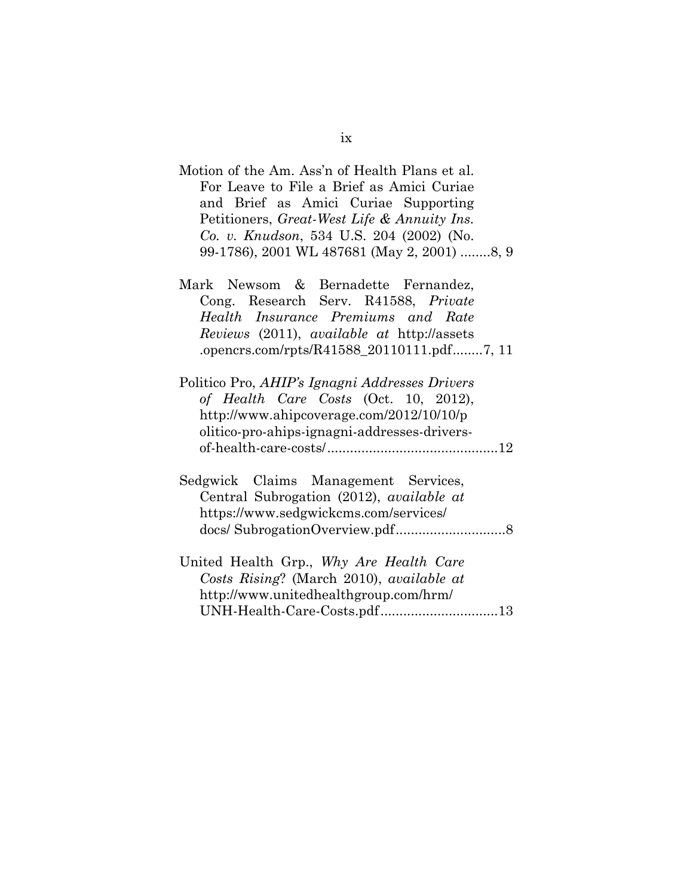| Motion of the Am. Ass'n of Health Plans et al. |
|------------------------------------------------|
| For Leave to File a Brief as Amici Curiae      |
| and Brief as Amici Curiae Supporting           |
| Petitioners, Great-West Life & Annuity Ins.    |
| Co. v. Knudson, 534 U.S. 204 (2002) (No.       |
| 99-1786), 2001 WL 487681 (May 2, 2001) 8, 9    |

|  |  |  | Mark Newsom & Bernadette Fernandez,        |  |
|--|--|--|--------------------------------------------|--|
|  |  |  | Cong. Research Serv. R41588, Private       |  |
|  |  |  | Health Insurance Premiums and Rate         |  |
|  |  |  | Reviews (2011), available at http://assets |  |
|  |  |  | .opencrs.com/rpts/R41588_20110111.pdf7, 11 |  |

| Politico Pro, AHIP's Ignagni Addresses Drivers |  |
|------------------------------------------------|--|
| of Health Care Costs (Oct. 10, 2012),          |  |
| http://www.ahipcoverage.com/2012/10/10/p       |  |
| olitico-pro-ahips-ignagni-addresses-drivers-   |  |
|                                                |  |

|  | Sedgwick Claims Management Services,            |  |
|--|-------------------------------------------------|--|
|  | Central Subrogation (2012), <i>available at</i> |  |
|  | https://www.sedgwickcms.com/services/           |  |
|  |                                                 |  |

| United Health Grp., Why Are Health Care  |  |
|------------------------------------------|--|
| Costs Rising? (March 2010), available at |  |
| http://www.unitedhealthgroup.com/hrm/    |  |
|                                          |  |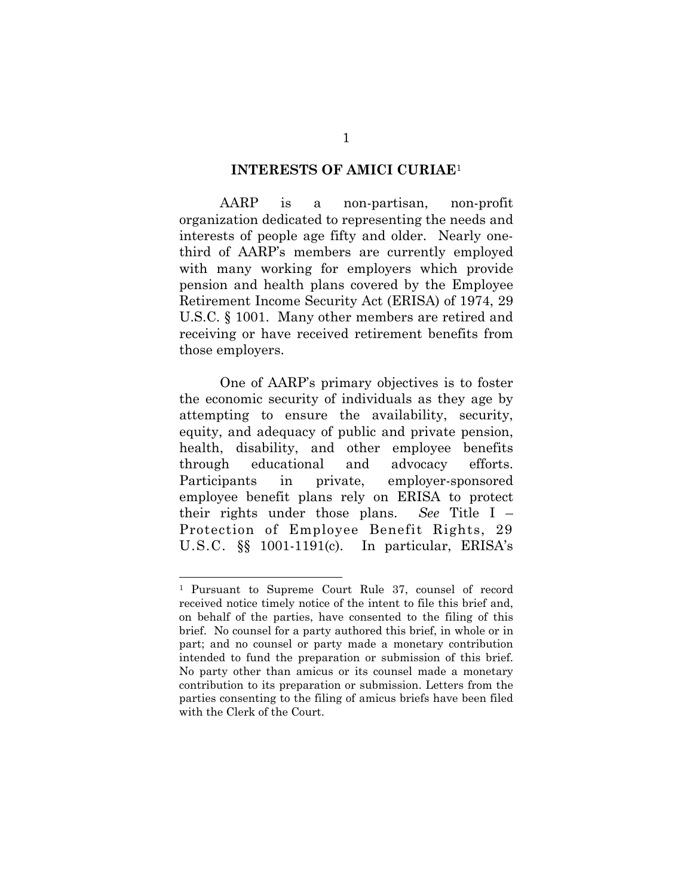#### **INTERESTS OF AMICI CURIAE**<sup>1</sup>

 AARP is a non-partisan, non-profit organization dedicated to representing the needs and interests of people age fifty and older. Nearly onethird of AARP's members are currently employed with many working for employers which provide pension and health plans covered by the Employee Retirement Income Security Act (ERISA) of 1974, 29 U.S.C. § 1001. Many other members are retired and receiving or have received retirement benefits from those employers.

 One of AARP's primary objectives is to foster the economic security of individuals as they age by attempting to ensure the availability, security, equity, and adequacy of public and private pension, health, disability, and other employee benefits through educational and advocacy efforts. Participants in private, employer-sponsored employee benefit plans rely on ERISA to protect their rights under those plans. *See* Title I – Protection of Employee Benefit Rights, 29 U.S.C. §§ 1001-1191(c).In particular, ERISA's

<sup>1</sup> Pursuant to Supreme Court Rule 37, counsel of record received notice timely notice of the intent to file this brief and, on behalf of the parties, have consented to the filing of this brief. No counsel for a party authored this brief, in whole or in part; and no counsel or party made a monetary contribution intended to fund the preparation or submission of this brief. No party other than amicus or its counsel made a monetary contribution to its preparation or submission. Letters from the parties consenting to the filing of amicus briefs have been filed with the Clerk of the Court.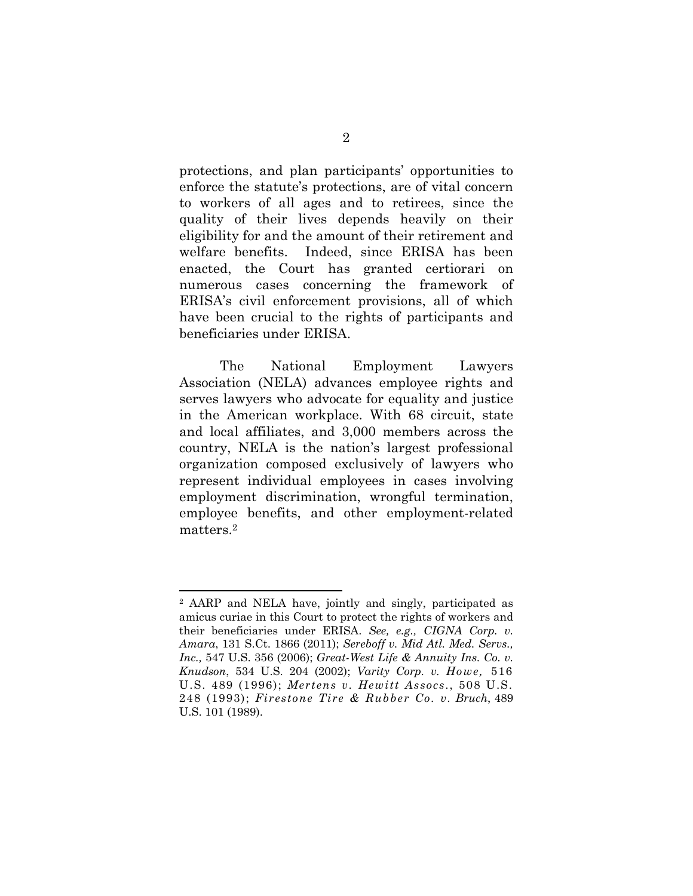protections, and plan participants' opportunities to enforce the statute's protections, are of vital concern to workers of all ages and to retirees, since the quality of their lives depends heavily on their eligibility for and the amount of their retirement and welfare benefits. Indeed, since ERISA has been enacted, the Court has granted certiorari on numerous cases concerning the framework of ERISA's civil enforcement provisions, all of which have been crucial to the rights of participants and beneficiaries under ERISA.

The National Employment Lawyers Association (NELA) advances employee rights and serves lawyers who advocate for equality and justice in the American workplace. With 68 circuit, state and local affiliates, and 3,000 members across the country, NELA is the nation's largest professional organization composed exclusively of lawyers who represent individual employees in cases involving employment discrimination, wrongful termination, employee benefits, and other employment-related matters.2

<sup>2</sup> AARP and NELA have, jointly and singly, participated as amicus curiae in this Court to protect the rights of workers and their beneficiaries under ERISA. *See, e.g., CIGNA Corp. v. Amara*, 131 S.Ct. 1866 (2011); *Sereboff v. Mid Atl. Med. Servs., Inc.,* 547 U.S. 356 (2006); *Great-West Life & Annuity Ins. Co. v. Knudson*, 534 U.S. 204 (2002); *Varity Corp. v. Howe,* 516 U.S. 489 (1996); *Mertens v. Hewitt Assocs*., 508 U.S. 248 (1993); *Firestone Tire & Rubber Co. v. Bruch*, 489 U.S. 101 (1989).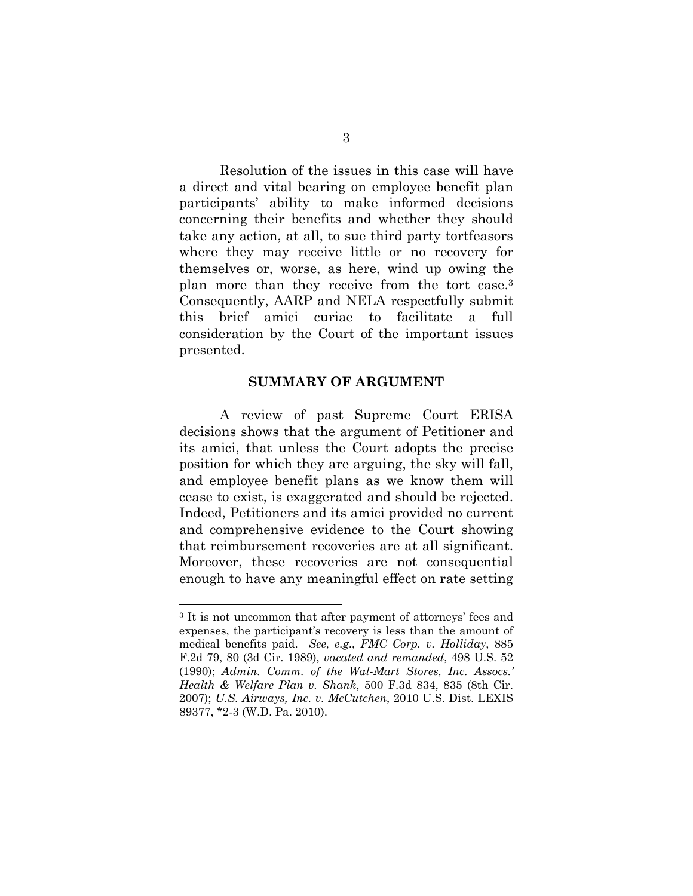Resolution of the issues in this case will have a direct and vital bearing on employee benefit plan participants' ability to make informed decisions concerning their benefits and whether they should take any action, at all, to sue third party tortfeasors where they may receive little or no recovery for themselves or, worse, as here, wind up owing the plan more than they receive from the tort case.3 Consequently, AARP and NELA respectfully submit this brief amici curiae to facilitate a full consideration by the Court of the important issues presented.

#### **SUMMARY OF ARGUMENT**

A review of past Supreme Court ERISA decisions shows that the argument of Petitioner and its amici, that unless the Court adopts the precise position for which they are arguing, the sky will fall, and employee benefit plans as we know them will cease to exist, is exaggerated and should be rejected. Indeed, Petitioners and its amici provided no current and comprehensive evidence to the Court showing that reimbursement recoveries are at all significant. Moreover, these recoveries are not consequential enough to have any meaningful effect on rate setting

<sup>3</sup> It is not uncommon that after payment of attorneys' fees and expenses, the participant's recovery is less than the amount of medical benefits paid. *See, e.g*., *FMC Corp. v. Holliday*, 885 F.2d 79, 80 (3d Cir. 1989), *vacated and remanded*, 498 U.S. 52 (1990); *Admin. Comm. of the Wal-Mart Stores, Inc. Assocs.' Health & Welfare Plan v. Shank*, 500 F.3d 834, 835 (8th Cir. 2007); *U.S. Airways, Inc. v. McCutchen*, 2010 U.S. Dist. LEXIS 89377, \*2-3 (W.D. Pa. 2010).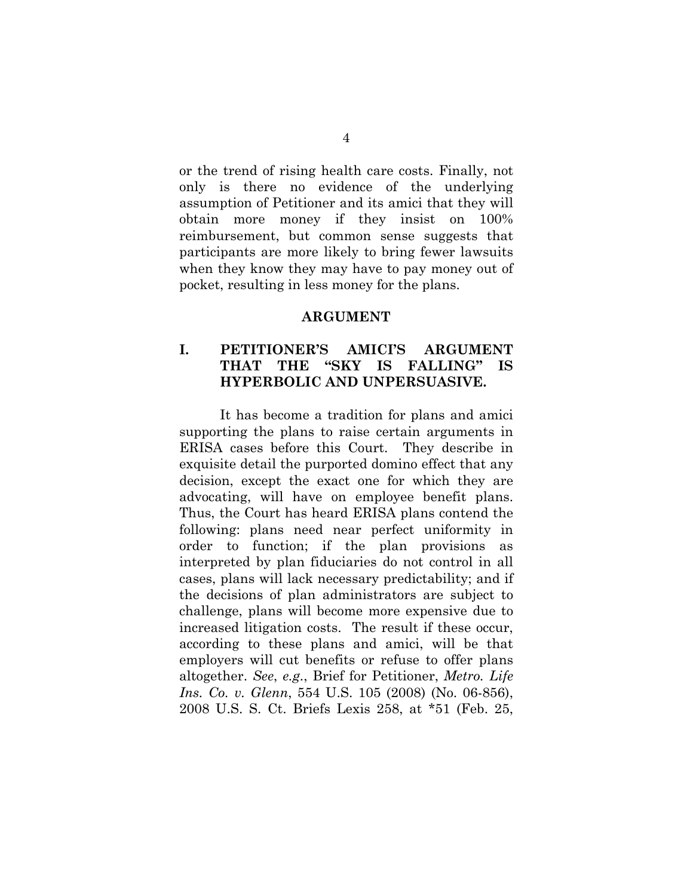or the trend of rising health care costs. Finally, not only is there no evidence of the underlying assumption of Petitioner and its amici that they will obtain more money if they insist on 100% reimbursement, but common sense suggests that participants are more likely to bring fewer lawsuits when they know they may have to pay money out of pocket, resulting in less money for the plans.

#### **ARGUMENT**

### **I. PETITIONER'S AMICI'S ARGUMENT THAT THE "SKY IS FALLING" IS HYPERBOLIC AND UNPERSUASIVE.**

It has become a tradition for plans and amici supporting the plans to raise certain arguments in ERISA cases before this Court. They describe in exquisite detail the purported domino effect that any decision, except the exact one for which they are advocating, will have on employee benefit plans. Thus, the Court has heard ERISA plans contend the following: plans need near perfect uniformity in order to function; if the plan provisions as interpreted by plan fiduciaries do not control in all cases, plans will lack necessary predictability; and if the decisions of plan administrators are subject to challenge, plans will become more expensive due to increased litigation costs. The result if these occur, according to these plans and amici, will be that employers will cut benefits or refuse to offer plans altogether. *See*, *e.g*., Brief for Petitioner, *Metro. Life Ins. Co. v. Glenn*, 554 U.S. 105 (2008) (No. 06-856), 2008 U.S. S. Ct. Briefs Lexis 258, at \*51 (Feb. 25,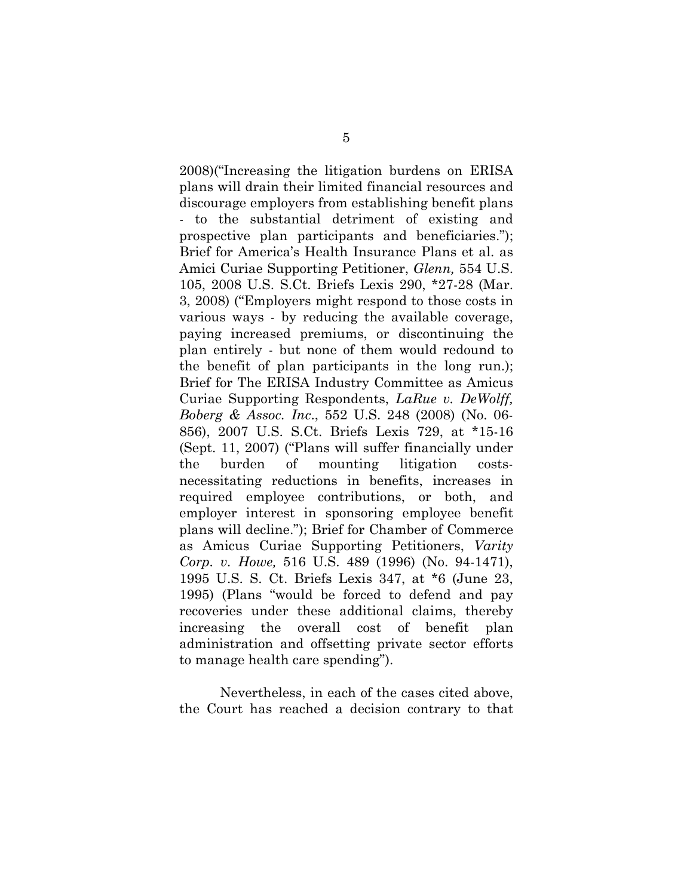2008)("Increasing the litigation burdens on ERISA plans will drain their limited financial resources and discourage employers from establishing benefit plans - to the substantial detriment of existing and prospective plan participants and beneficiaries."); Brief for America's Health Insurance Plans et al. as Amici Curiae Supporting Petitioner, *Glenn,* 554 U.S. 105, 2008 U.S. S.Ct. Briefs Lexis 290, \*27-28 (Mar. 3, 2008) ("Employers might respond to those costs in various ways - by reducing the available coverage, paying increased premiums, or discontinuing the plan entirely - but none of them would redound to the benefit of plan participants in the long run.); Brief for The ERISA Industry Committee as Amicus Curiae Supporting Respondents, *LaRue v. DeWolff, Boberg & Assoc. Inc*., 552 U.S. 248 (2008) (No. 06- 856), 2007 U.S. S.Ct. Briefs Lexis 729, at \*15-16 (Sept. 11, 2007) ("Plans will suffer financially under the burden of mounting litigation costsnecessitating reductions in benefits, increases in required employee contributions, or both, and employer interest in sponsoring employee benefit plans will decline."); Brief for Chamber of Commerce as Amicus Curiae Supporting Petitioners, *Varity Corp. v. Howe,* 516 U.S. 489 (1996) (No. 94-1471), 1995 U.S. S. Ct. Briefs Lexis 347, at \*6 (June 23, 1995) (Plans "would be forced to defend and pay recoveries under these additional claims, thereby increasing the overall cost of benefit plan administration and offsetting private sector efforts to manage health care spending").

Nevertheless, in each of the cases cited above, the Court has reached a decision contrary to that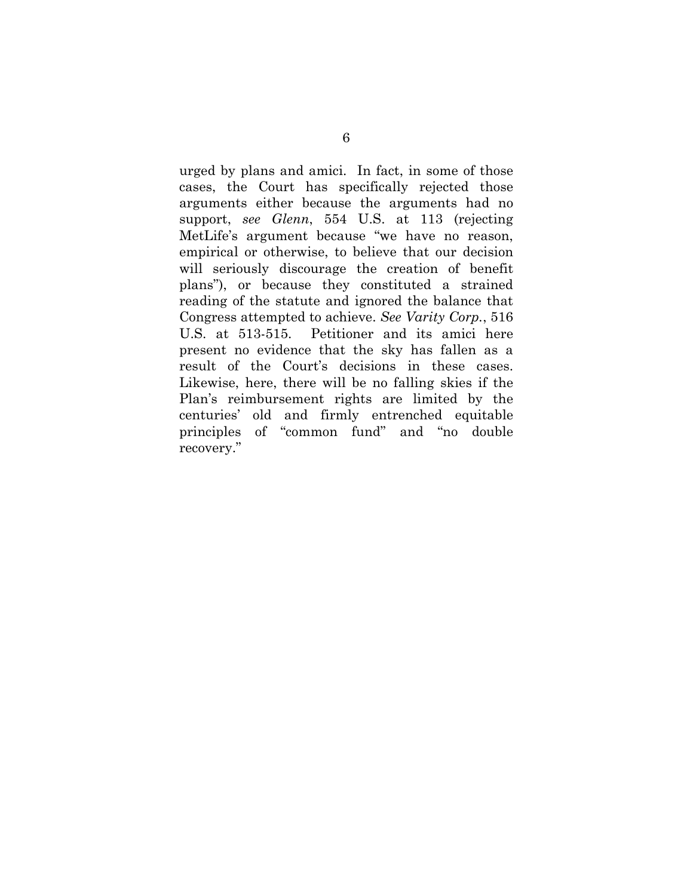urged by plans and amici. In fact, in some of those cases, the Court has specifically rejected those arguments either because the arguments had no support, *see Glenn*, 554 U.S. at 113 (rejecting MetLife's argument because "we have no reason, empirical or otherwise, to believe that our decision will seriously discourage the creation of benefit plans"), or because they constituted a strained reading of the statute and ignored the balance that Congress attempted to achieve. *See Varity Corp.*, 516 U.S. at 513-515. Petitioner and its amici here present no evidence that the sky has fallen as a result of the Court's decisions in these cases. Likewise, here, there will be no falling skies if the Plan's reimbursement rights are limited by the centuries' old and firmly entrenched equitable principles of "common fund" and "no double recovery."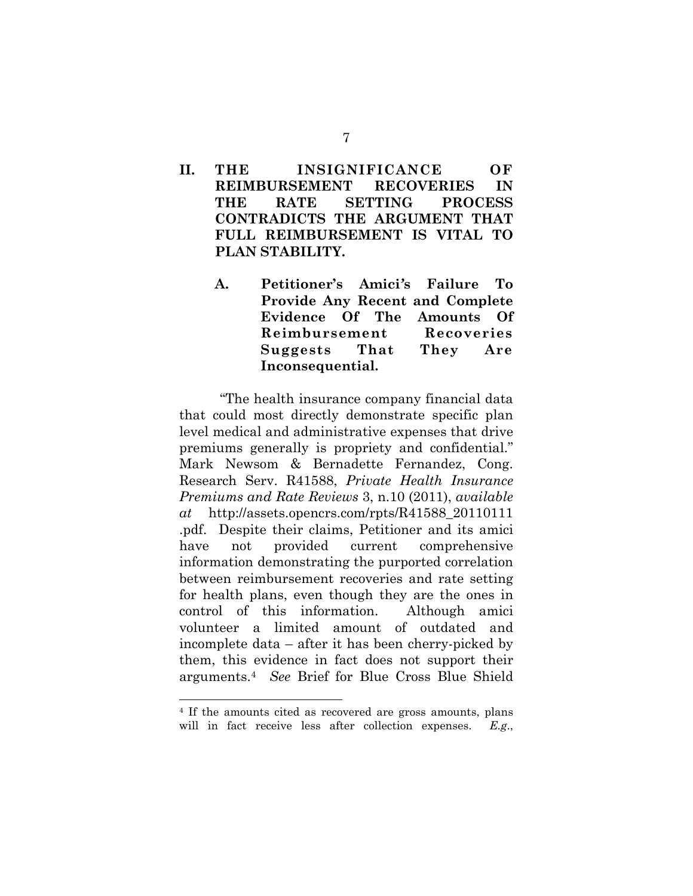- **II. THE INSIGNIFICANCE OF REIMBURSEMENT RECOVERIES IN THE RATE SETTING PROCESS CONTRADICTS THE ARGUMENT THAT FULL REIMBURSEMENT IS VITAL TO PLAN STABILITY.** 
	- **A. Petitioner's Amici***'***s Failure To Provide Any Recent and Complete Evidence Of The Amounts Of Reimbursement Recoveries Suggests That They Are Inconsequential.**

"The health insurance company financial data that could most directly demonstrate specific plan level medical and administrative expenses that drive premiums generally is propriety and confidential." Mark Newsom & Bernadette Fernandez, Cong. Research Serv. R41588, *Private Health Insurance Premiums and Rate Reviews* 3, n.10 (2011), *available at* http://assets.opencrs.com/rpts/R41588\_20110111 .pdf. Despite their claims, Petitioner and its amici have not provided current comprehensive information demonstrating the purported correlation between reimbursement recoveries and rate setting for health plans, even though they are the ones in control of this information. Although amici volunteer a limited amount of outdated and incomplete data – after it has been cherry-picked by them, this evidence in fact does not support their arguments.4 *See* Brief for Blue Cross Blue Shield

<sup>4</sup> If the amounts cited as recovered are gross amounts, plans will in fact receive less after collection expenses. *E.g*.,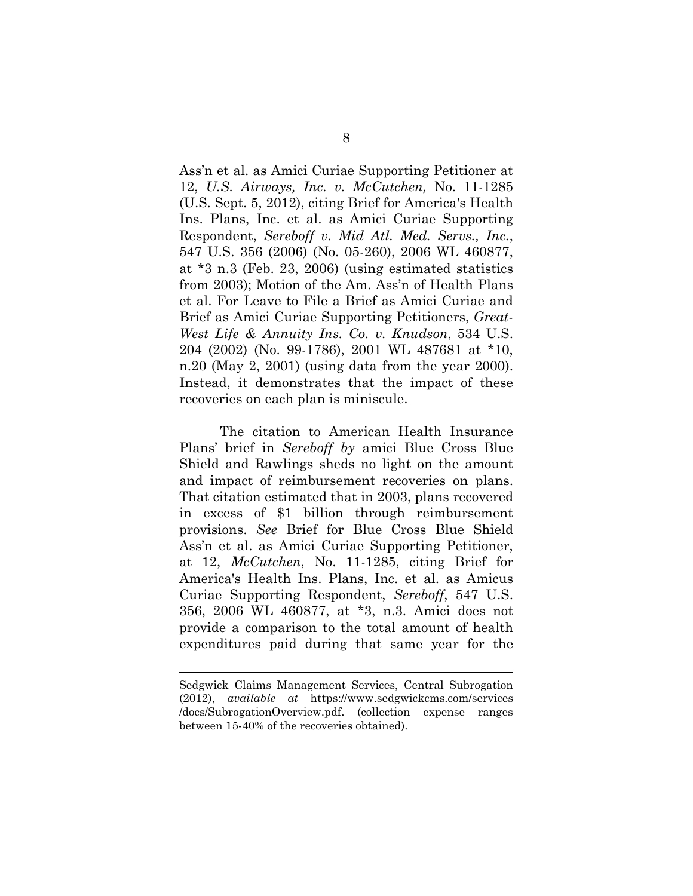Ass'n et al. as Amici Curiae Supporting Petitioner at 12, *U.S. Airways, Inc. v. McCutchen,* No. 11-1285 (U.S. Sept. 5, 2012), citing Brief for America's Health Ins. Plans, Inc. et al. as Amici Curiae Supporting Respondent, *Sereboff v. Mid Atl. Med. Servs., Inc.*, 547 U.S. 356 (2006) (No. 05-260), 2006 WL 460877, at \*3 n.3 (Feb. 23, 2006) (using estimated statistics from 2003); Motion of the Am. Ass'n of Health Plans et al. For Leave to File a Brief as Amici Curiae and Brief as Amici Curiae Supporting Petitioners, *Great-West Life & Annuity Ins. Co. v. Knudson*, 534 U.S. 204 (2002) (No. 99-1786), 2001 WL 487681 at \*10, n.20 (May 2, 2001) (using data from the year 2000). Instead, it demonstrates that the impact of these recoveries on each plan is miniscule.

The citation to American Health Insurance Plans' brief in *Sereboff by* amici Blue Cross Blue Shield and Rawlings sheds no light on the amount and impact of reimbursement recoveries on plans. That citation estimated that in 2003, plans recovered in excess of \$1 billion through reimbursement provisions. *See* Brief for Blue Cross Blue Shield Ass'n et al. as Amici Curiae Supporting Petitioner, at 12, *McCutchen*, No. 11-1285, citing Brief for America's Health Ins. Plans, Inc. et al. as Amicus Curiae Supporting Respondent, *Sereboff*, 547 U.S. 356, 2006 WL 460877, at \*3, n.3. Amici does not provide a comparison to the total amount of health expenditures paid during that same year for the

Sedgwick Claims Management Services, Central Subrogation (2012), *available at* https://www.sedgwickcms.com/services /docs/SubrogationOverview.pdf. (collection expense ranges between 15-40% of the recoveries obtained).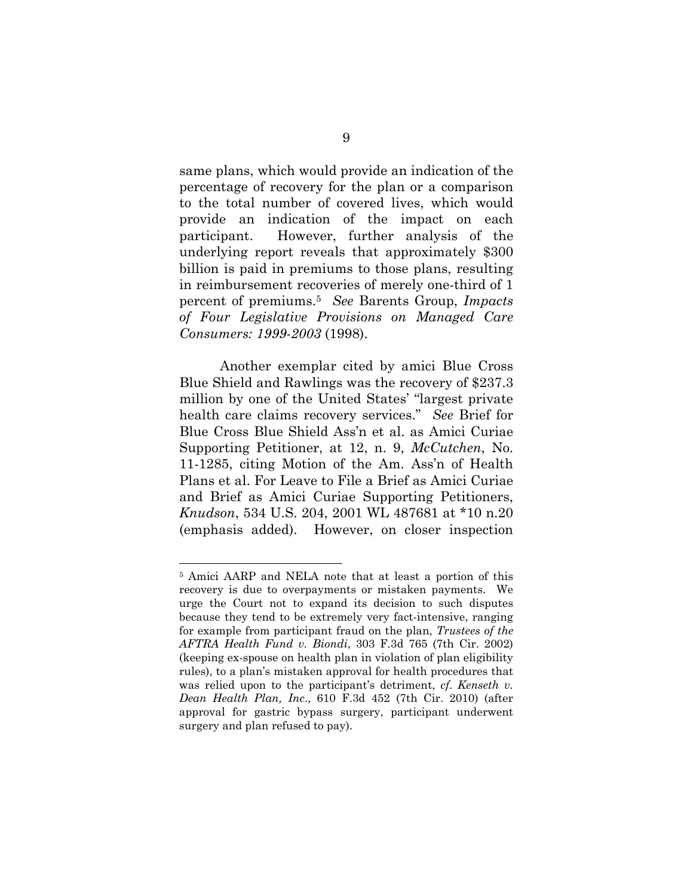same plans, which would provide an indication of the percentage of recovery for the plan or a comparison to the total number of covered lives, which would provide an indication of the impact on each participant. However, further analysis of the underlying report reveals that approximately \$300 billion is paid in premiums to those plans, resulting in reimbursement recoveries of merely one-third of 1 percent of premiums.5 *See* Barents Group, *Impacts of Four Legislative Provisions on Managed Care Consumers: 1999-2003* (1998).

 Another exemplar cited by amici Blue Cross Blue Shield and Rawlings was the recovery of \$237.3 million by one of the United States' "largest private health care claims recovery services." *See* Brief for Blue Cross Blue Shield Ass'n et al. as Amici Curiae Supporting Petitioner, at 12, n. 9, *McCutchen*, No. 11-1285, citing Motion of the Am. Ass'n of Health Plans et al. For Leave to File a Brief as Amici Curiae and Brief as Amici Curiae Supporting Petitioners, *Knudson*, 534 U.S. 204, 2001 WL 487681 at \*10 n.20 (emphasis added). However, on closer inspection

<sup>5</sup> Amici AARP and NELA note that at least a portion of this recovery is due to overpayments or mistaken payments. We urge the Court not to expand its decision to such disputes because they tend to be extremely very fact-intensive, ranging for example from participant fraud on the plan, *Trustees of the AFTRA Health Fund v. Biondi*, 303 F.3d 765 (7th Cir. 2002) (keeping ex-spouse on health plan in violation of plan eligibility rules), to a plan's mistaken approval for health procedures that was relied upon to the participant's detriment, *cf*. *Kenseth v. Dean Health Plan, Inc*., 610 F.3d 452 (7th Cir. 2010) (after approval for gastric bypass surgery, participant underwent surgery and plan refused to pay).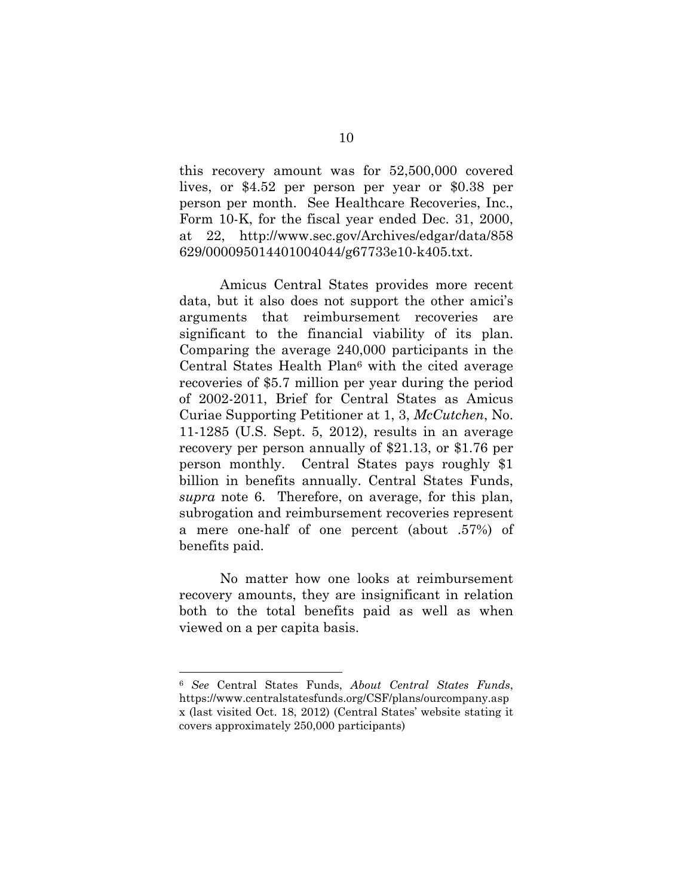this recovery amount was for 52,500,000 covered lives, or \$4.52 per person per year or \$0.38 per person per month. See Healthcare Recoveries, Inc., Form 10-K, for the fiscal year ended Dec. 31, 2000, at 22, http://www.sec.gov/Archives/edgar/data/858 629/000095014401004044/g67733e10-k405.txt.

Amicus Central States provides more recent data, but it also does not support the other amici's arguments that reimbursement recoveries are significant to the financial viability of its plan. Comparing the average 240,000 participants in the Central States Health Plan<sup>6</sup> with the cited average recoveries of \$5.7 million per year during the period of 2002-2011, Brief for Central States as Amicus Curiae Supporting Petitioner at 1, 3, *McCutchen*, No. 11-1285 (U.S. Sept. 5, 2012), results in an average recovery per person annually of \$21.13, or \$1.76 per person monthly. Central States pays roughly \$1 billion in benefits annually. Central States Funds, *supra* note 6. Therefore, on average, for this plan, subrogation and reimbursement recoveries represent a mere one-half of one percent (about .57%) of benefits paid.

No matter how one looks at reimbursement recovery amounts, they are insignificant in relation both to the total benefits paid as well as when viewed on a per capita basis.

<sup>6</sup> *See* Central States Funds, *About Central States Funds*, https://www.centralstatesfunds.org/CSF/plans/ourcompany.asp x (last visited Oct. 18, 2012) (Central States' website stating it covers approximately 250,000 participants)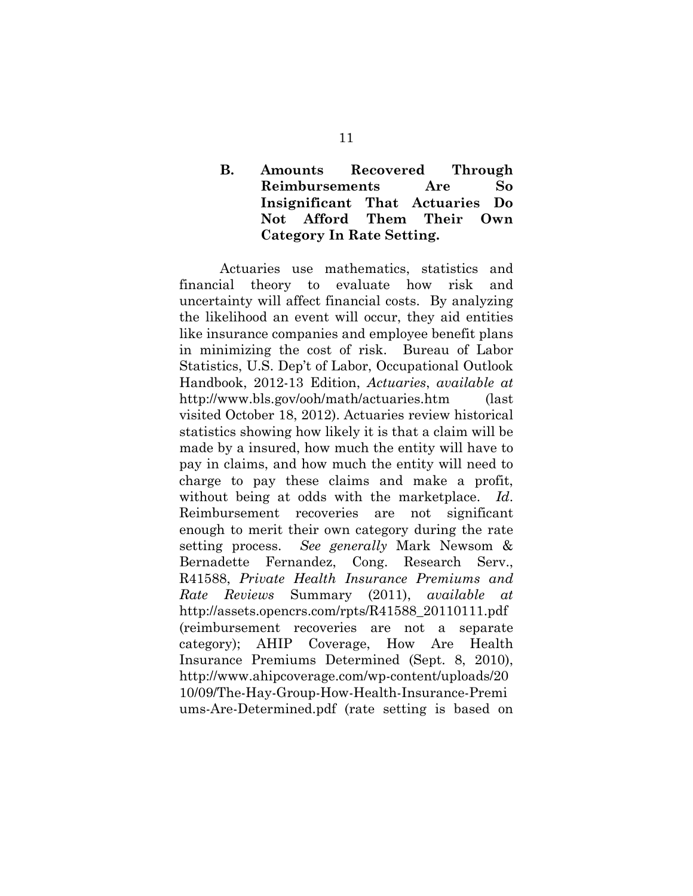### **B. Amounts Recovered Through Reimbursements Are So Insignificant That Actuaries Do Not Afford Them Their Own Category In Rate Setting.**

Actuaries use mathematics, statistics and financial theory to evaluate how risk and uncertainty will affect financial costs. By analyzing the likelihood an event will occur, they aid entities like insurance companies and employee benefit plans in minimizing the cost of risk. Bureau of Labor Statistics, U.S. Dep't of Labor, Occupational Outlook Handbook, 2012-13 Edition, *Actuaries*, *available at*  http://www.bls.gov/ooh/math/actuaries.htm (last visited October 18, 2012). Actuaries review historical statistics showing how likely it is that a claim will be made by a insured, how much the entity will have to pay in claims, and how much the entity will need to charge to pay these claims and make a profit, without being at odds with the marketplace. *Id*. Reimbursement recoveries are not significant enough to merit their own category during the rate setting process. *See generally* Mark Newsom & Bernadette Fernandez, Cong. Research Serv., R41588, *Private Health Insurance Premiums and Rate Reviews* Summary (2011), *available at* http://assets.opencrs.com/rpts/R41588\_20110111.pdf (reimbursement recoveries are not a separate category); AHIP Coverage, How Are Health Insurance Premiums Determined (Sept. 8, 2010), http://www.ahipcoverage.com/wp-content/uploads/20 10/09/The-Hay-Group-How-Health-Insurance-Premi ums-Are-Determined.pdf (rate setting is based on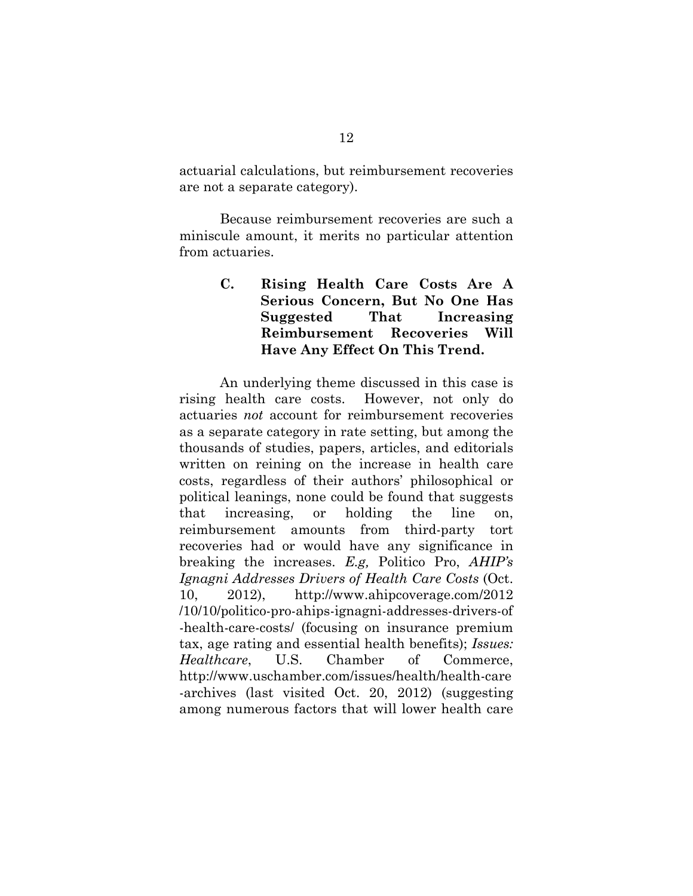actuarial calculations, but reimbursement recoveries are not a separate category).

Because reimbursement recoveries are such a miniscule amount, it merits no particular attention from actuaries.

> **C. Rising Health Care Costs Are A Serious Concern, But No One Has Suggested That Increasing Reimbursement Recoveries Will Have Any Effect On This Trend.**

An underlying theme discussed in this case is rising health care costs. However, not only do actuaries *not* account for reimbursement recoveries as a separate category in rate setting, but among the thousands of studies, papers, articles, and editorials written on reining on the increase in health care costs, regardless of their authors' philosophical or political leanings, none could be found that suggests that increasing, or holding the line on, reimbursement amounts from third-party tort recoveries had or would have any significance in breaking the increases. *E.g,* Politico Pro, *AHIP's Ignagni Addresses Drivers of Health Care Costs* (Oct. 10, 2012), http://www.ahipcoverage.com/2012 /10/10/politico-pro-ahips-ignagni-addresses-drivers-of -health-care-costs/ (focusing on insurance premium tax, age rating and essential health benefits); *Issues: Healthcare*, U.S. Chamber of Commerce, http://www.uschamber.com/issues/health/health-care -archives (last visited Oct. 20, 2012) (suggesting among numerous factors that will lower health care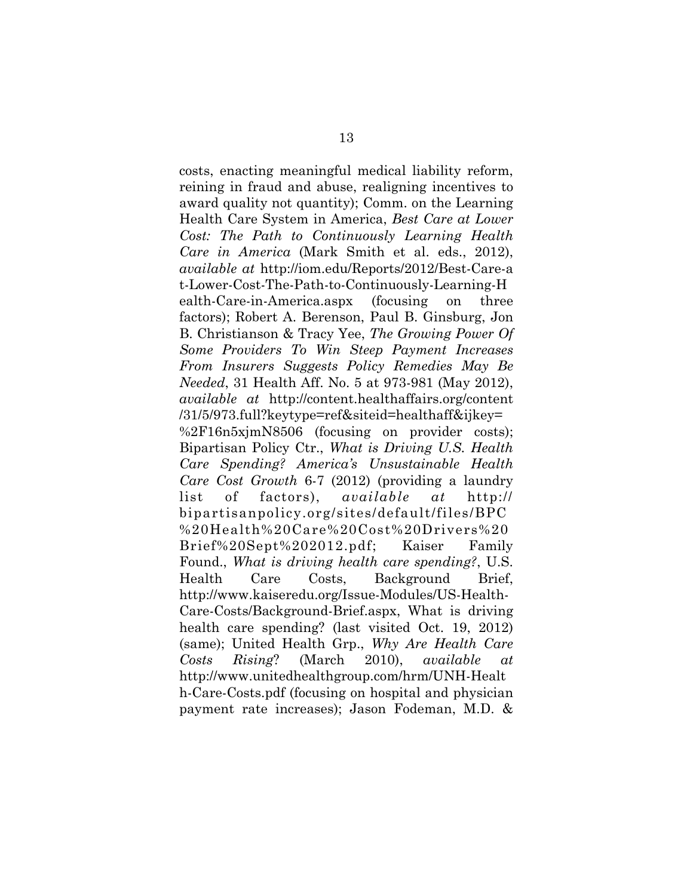costs, enacting meaningful medical liability reform, reining in fraud and abuse, realigning incentives to award quality not quantity); Comm. on the Learning Health Care System in America, *Best Care at Lower Cost: The Path to Continuously Learning Health Care in America* (Mark Smith et al. eds., 2012), *available at* http://iom.edu/Reports/2012/Best-Care-a t-Lower-Cost-The-Path-to-Continuously-Learning-H ealth-Care-in-America.aspx (focusing on three factors); Robert A. Berenson, Paul B. Ginsburg, Jon B. Christianson & Tracy Yee, *The Growing Power Of Some Providers To Win Steep Payment Increases From Insurers Suggests Policy Remedies May Be Needed*, 31 Health Aff. No. 5 at 973-981 (May 2012), *available at* http://content.healthaffairs.org/content /31/5/973.full?keytype=ref&siteid=healthaff&ijkey= %2F16n5xjmN8506 (focusing on provider costs); Bipartisan Policy Ctr., *What is Driving U.S. Health Care Spending? America's Unsustainable Health Care Cost Growth* 6-7 (2012) (providing a laundry list of factors), *available at* http:// bipartisanpolicy.org/sites/default/files/BPC %20Health%20Care%20Cost%20Drivers%20 Brief%20Sept%202012.pdf; Kaiser Family Found., *What is driving health care spending?*, U.S. Health Care Costs, Background Brief, http://www.kaiseredu.org/Issue-Modules/US-Health-Care-Costs/Background-Brief.aspx, What is driving health care spending? (last visited Oct. 19, 2012) (same); United Health Grp., *Why Are Health Care Costs Rising*? (March 2010), *available at* http://www.unitedhealthgroup.com/hrm/UNH-Healt h-Care-Costs.pdf (focusing on hospital and physician payment rate increases); Jason Fodeman, M.D. &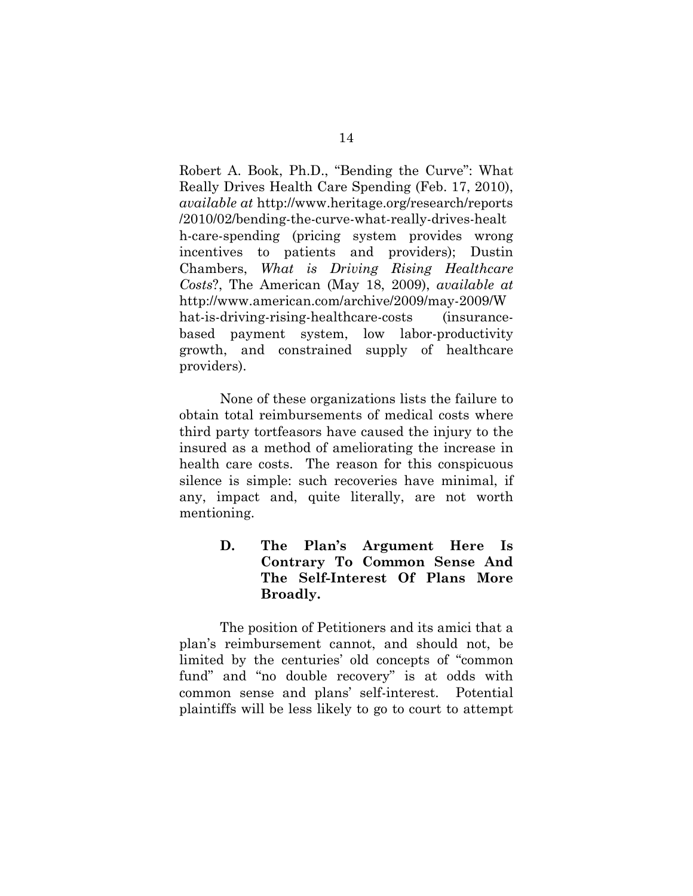Robert A. Book, Ph.D., "Bending the Curve": What Really Drives Health Care Spending (Feb. 17, 2010), *available at* http://www.heritage.org/research/reports /2010/02/bending-the-curve-what-really-drives-healt h-care-spending (pricing system provides wrong incentives to patients and providers); Dustin Chambers, *What is Driving Rising Healthcare Costs*?, The American (May 18, 2009), *available at* http://www.american.com/archive/2009/may-2009/W hat-is-driving-rising-healthcare-costs (insurancebased payment system, low labor-productivity growth, and constrained supply of healthcare providers).

None of these organizations lists the failure to obtain total reimbursements of medical costs where third party tortfeasors have caused the injury to the insured as a method of ameliorating the increase in health care costs. The reason for this conspicuous silence is simple: such recoveries have minimal, if any, impact and, quite literally, are not worth mentioning.

> **D. The Plan's Argument Here Is Contrary To Common Sense And The Self-Interest Of Plans More Broadly.**

 The position of Petitioners and its amici that a plan's reimbursement cannot, and should not, be limited by the centuries' old concepts of "common fund" and "no double recovery" is at odds with common sense and plans' self-interest. Potential plaintiffs will be less likely to go to court to attempt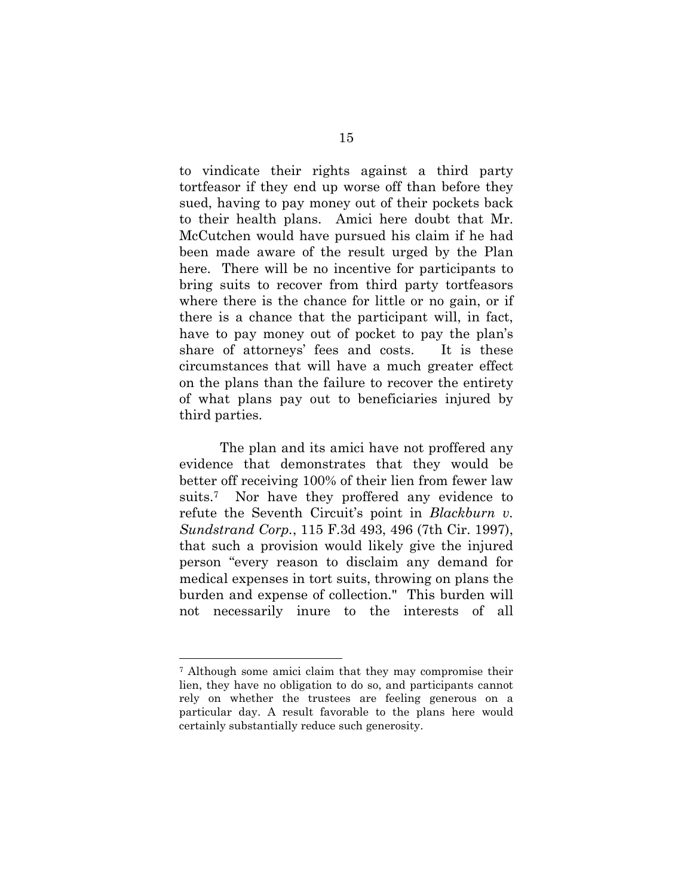to vindicate their rights against a third party tortfeasor if they end up worse off than before they sued, having to pay money out of their pockets back to their health plans. Amici here doubt that Mr. McCutchen would have pursued his claim if he had been made aware of the result urged by the Plan here. There will be no incentive for participants to bring suits to recover from third party tortfeasors where there is the chance for little or no gain, or if there is a chance that the participant will, in fact, have to pay money out of pocket to pay the plan's share of attorneys' fees and costs. It is these circumstances that will have a much greater effect on the plans than the failure to recover the entirety of what plans pay out to beneficiaries injured by third parties.

 The plan and its amici have not proffered any evidence that demonstrates that they would be better off receiving 100% of their lien from fewer law suits.7 Nor have they proffered any evidence to refute the Seventh Circuit's point in *Blackburn v. Sundstrand Corp.*, 115 F.3d 493, 496 (7th Cir. 1997), that such a provision would likely give the injured person "every reason to disclaim any demand for medical expenses in tort suits, throwing on plans the burden and expense of collection." This burden will not necessarily inure to the interests of all

<sup>7</sup> Although some amici claim that they may compromise their lien, they have no obligation to do so, and participants cannot rely on whether the trustees are feeling generous on a particular day. A result favorable to the plans here would certainly substantially reduce such generosity.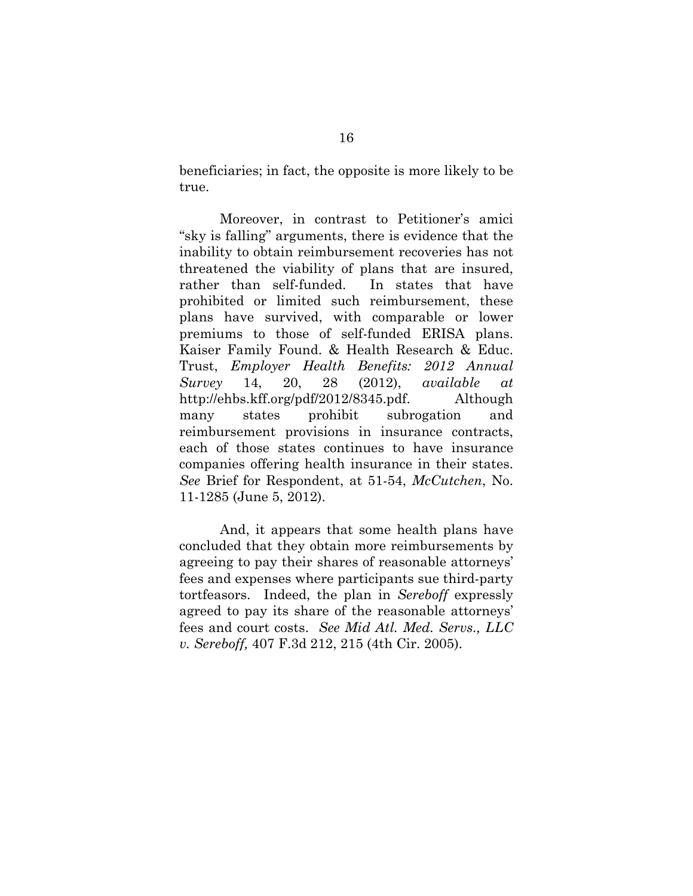beneficiaries; in fact, the opposite is more likely to be true.

 Moreover, in contrast to Petitioner's amici "sky is falling" arguments, there is evidence that the inability to obtain reimbursement recoveries has not threatened the viability of plans that are insured, rather than self-funded. In states that have prohibited or limited such reimbursement, these plans have survived, with comparable or lower premiums to those of self-funded ERISA plans. Kaiser Family Found. & Health Research & Educ. Trust, *Employer Health Benefits: 2012 Annual Survey* 14, 20, 28 (2012), *available at* http://ehbs.kff.org/pdf/2012/8345.pdf. Although many states prohibit subrogation and reimbursement provisions in insurance contracts, each of those states continues to have insurance companies offering health insurance in their states. *See* Brief for Respondent, at 51-54, *McCutchen*, No. 11-1285 (June 5, 2012).

 And, it appears that some health plans have concluded that they obtain more reimbursements by agreeing to pay their shares of reasonable attorneys' fees and expenses where participants sue third-party tortfeasors. Indeed, the plan in *Sereboff* expressly agreed to pay its share of the reasonable attorneys' fees and court costs. *See Mid Atl. Med. Servs., LLC v. Sereboff,* 407 F.3d 212, 215 (4th Cir. 2005).